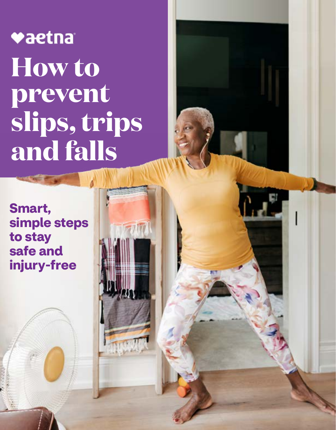# vaetna **How to prevent slips, trips and falls**

**Smart, simple steps to stay safe and injury-free**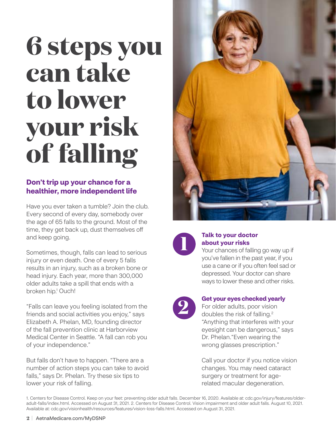# **6 steps you can take to lower your risk of falling**

### **Don't trip up your chance for a healthier, more independent life**

Have you ever taken a tumble? Join the club. Every second of every day, somebody over the age of 65 falls to the ground. Most of the time, they get back up, dust themselves off and keep going.

Sometimes, though, falls can lead to serious injury or even death. One of every 5 falls results in an injury, such as a broken bone or head injury. Each year, more than 300,000 older adults take a spill that ends with a broken hip.1 Ouch!

"Falls can leave you feeling isolated from the friends and social activities you enjoy," says Elizabeth A. Phelan, MD, founding director of the fall prevention clinic at Harborview Medical Center in Seattle. "A fall can rob you of your independence."

But falls don't have to happen. "There are a number of action steps you can take to avoid falls," says Dr. Phelan. Try these six tips to lower your risk of falling.





## **1 <b>1 Talk to your doctor**<br> **1** *No***ur chances of falling go way up if about your risks**

you've fallen in the past year, if you use a cane or if you often feel sad or depressed. Your doctor can share ways to lower these and other risks.



### **2 Get your eyes checked yearly**

For older adults, poor vision doubles the risk of falling.2 "Anything that interferes with your eyesight can be dangerous," says Dr. Phelan."Even wearing the wrong glasses prescription."

Call your doctor if you notice vision changes. You may need cataract surgery or treatment for agerelated macular degeneration.

1. Centers for Disease Control. Keep on your feet: preventing older adult falls. December 16, 2020. Available at: [cdc.gov/injury/features/older](http://cdc.gov/injury/features/older-adult-falls/index.html)[adult-falls/index.html.](http://cdc.gov/injury/features/older-adult-falls/index.html) Accessed on August 31, 2021. 2. Centers for Disease Control. Vision impairment and older adult falls. August 10, 2021. Available at: [cdc.gov/visionhealth/resources/features/vision-loss-falls.html.](http://cdc.gov/injury/features/older-adult-falls/index.html) Accessed on August 31, 2021.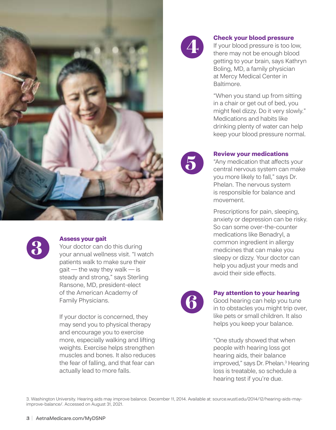



**3 Assess your gait**  Your doctor can do this during your annual wellness visit. "I watch patients walk to make sure their  $g$ ait — the way they walk — is steady and strong," says Sterling Ransone, MD, president-elect of the American Academy of Family Physicians.

> If your doctor is concerned, they may send you to physical therapy and encourage you to exercise more, especially walking and lifting weights. Exercise helps strengthen muscles and bones. It also reduces the fear of falling, and that fear can actually lead to more falls.



**4 <b>Check your blood pressure**<br>
If your blood pressure is too lo<br>
there may not be enough bloc If your blood pressure is too low, there may not be enough blood getting to your brain, says Kathryn Boling, MD, a family physician at Mercy Medical Center in Baltimore.

> "When you stand up from sitting in a chair or get out of bed, you might feel dizzy. Do it very slowly." Medications and habits like drinking plenty of water can help keep your blood pressure normal.



**Review your medications**<br> **1997 Any medication that affects<br>
central nervous system can** "Any medication that affects your central nervous system can make you more likely to fall," says Dr. Phelan. The nervous system is responsible for balance and movement.

> Prescriptions for pain, sleeping, anxiety or depression can be risky. So can some over-the-counter medications like Benadryl, a common ingredient in allergy medicines that can make you sleepy or dizzy. Your doctor can help you adjust your meds and avoid their side effects.



**6 <b>Pay attention to your hearing**<br> **6** Good hearing can help you tune<br>
in to obstacles you might trip over, Good hearing can help you tune like pets or small children. It also helps you keep your balance.

> "One study showed that when people with hearing loss got hearing aids, their balance improved," says Dr. Phelan.<sup>3</sup> Hearing loss is treatable, so schedule a hearing test if you're due.

3. Washington University. Hearing aids may improve balance. December 11, 2014. Available at: [source.wustl.edu/2014/12/hearing-aids-may](http://source.wustl.edu/2014/12/hearing-aids-may-improve-balance/)[improve-balance/.](http://source.wustl.edu/2014/12/hearing-aids-may-improve-balance/) Accessed on August 31, 2021.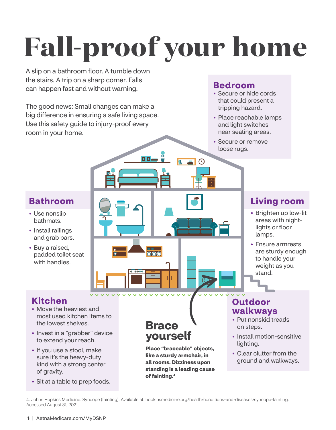# **Fall-proof your home**

 $\mathbf{E}$ 

A slip on a bathroom floor. A tumble down the stairs. A trip on a sharp corner. Falls can happen fast and without warning.

The good news: Small changes can make a big difference in ensuring a safe living space. Use this safety guide to injury-proof every room in your home.

### **Bedroom**

- Secure or hide cords that could present a tripping hazard.
- Place reachable lamps and light switches near seating areas.
- Secure or remove loose rugs.

### **Bathroom**

- Use nonslip bathmats.
- Install railings and grab bars.
- Buy a raised, padded toilet seat with handles.

### **Living room**

- Brighten up low-lit areas with nightlights or floor lamps.
- Ensure armrests are sturdy enough to handle your weight as you stand.

### **Kitchen**

- Move the heaviest and most used kitchen items to the lowest shelves.
- Invest in a "grabber" device to extend your reach.
- If you use a stool, make sure it's the heavy-duty kind with a strong center of gravity.
- Sit at a table to prep foods.

**Brace yourself** 

 $\overline{\text{OO}}$ 

**Place "braceable" objects, like a sturdy armchair, in all rooms. Dizziness upon standing is a leading cause of fainting.4** 

- **Outdoor walkways**  • Put nonskid treads
- on steps.
- Install motion-sensitive lighting.
- Clear clutter from the ground and walkways.

4. Johns Hopkins Medicine. Syncope (fainting). Available at: [hopkinsmedicine.org/health/conditions-and-diseases/syncope-fainting.](http://hopkinsmedicine.org/health/conditions-and-diseases/syncope-fainting) Accessed August 31, 2021.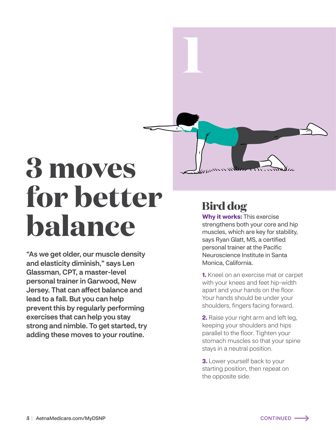# **3 moves for better balance**

"As we get older, our muscle density and elasticity diminish," says Len Glassman, CPT, a master-level personal trainer in Garwood, New Jersey. That can affect balance and lead to a fall. But you can help prevent this by regularly performing exercises that can help you stay strong and nimble. To get started, try adding these moves to your routine.

## **Bird dog**

**1** 

**Why it works:** This exercise strengthens both your core and hip muscles, which are key for stability, says Ryan Glatt, MS, a certified personal trainer at the Pacific Neuroscience Institute in Santa Monica, California.

**1.** Kneel on an exercise mat or carpet with your knees and feet hip-width apart and your hands on the floor. Your hands should be under your shoulders, fingers facing forward.

**2.** Raise your right arm and left leg, keeping your shoulders and hips parallel to the floor. Tighten your stomach muscles so that your spine stays in a neutral position.

**3.** Lower yourself back to your starting position, then repeat on the opposite side.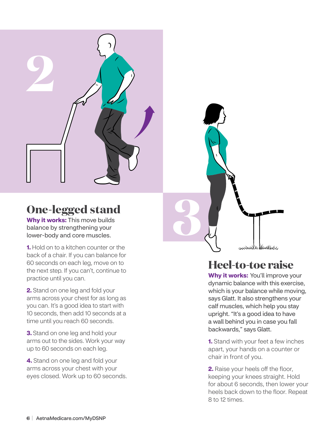

## **One-legged stand**

**Why it works:** This move builds balance by strengthening your lower-body and core muscles.

**1.** Hold on to a kitchen counter or the back of a chair. If you can balance for 60 seconds on each leg, move on to the next step. If you can't, continue to practice until you can.

**2.** Stand on one leg and fold your arms across your chest for as long as you can. It's a good idea to start with 10 seconds, then add 10 seconds at a time until you reach 60 seconds.

**3.** Stand on one leg and hold your arms out to the sides. Work your way up to 60 seconds on each leg.

**4.** Stand on one leg and fold your arms across your chest with your eyes closed. Work up to 60 seconds.

## **Heel-to-toe raise**

**3** 

**Why it works:** You'll improve your dynamic balance with this exercise, which is your balance while moving, says Glatt. It also strengthens your calf muscles, which help you stay upright. "It's a good idea to have a wall behind you in case you fall backwards," says Glatt.

**1.** Stand with your feet a few inches apart, your hands on a counter or chair in front of you.

**2.** Raise your heels off the floor, keeping your knees straight. Hold for about 6 seconds, then lower your heels back down to the floor. Repeat 8 to 12 times.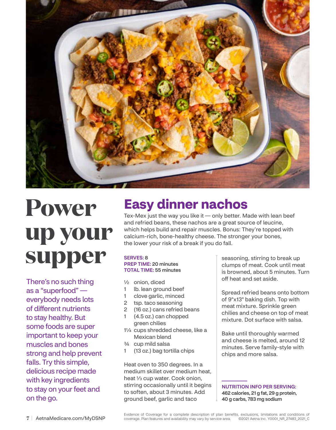

## **Power up your supper**

There's no such thing as a "superfood" everybody needs lots of different nutrients to stay healthy. But some foods are super important to keep your muscles and bones strong and help prevent falls. Try this simple, delicious recipe made with key ingredients to stay on your feet and on the go.

## **Easy dinner nachos**

Tex-Mex just the way you like it — only better. Made with lean beef and refried beans, these nachos are a great source of leucine, which helps build and repair muscles. Bonus: They're topped with calcium-rich, bone-healthy cheese. The stronger your bones, the lower your risk of a break if you do fall.

### SERVES: 8 PREP TIME: 20 minutes

### TOTAL TIME: 55 minutes

- ½ onion, diced
- 1 lb. lean ground beef
- 1 clove garlic, minced
- 2 tsp. taco seasoning
- 2 (16 oz.) cans refried beans
- 1 (4.5 oz.) can chopped green chilies
- 1¼ cups shredded cheese, like a Mexican blend
- ¾ cup mild salsa
- 1 (13 oz.) bag tortilla chips

Heat oven to 350 degrees. In a medium skillet over medium heat, heat 1/<sub>3</sub> cup water. Cook onion, stirring occasionally until it begins to soften, about 3 minutes. Add ground beef, garlic and taco

seasoning, stirring to break up clumps of meat. Cook until meat is browned, about 5 minutes. Turn off heat and set aside.

Spread refried beans onto bottom of 9"x13" baking dish. Top with meat mixture. Sprinkle green chilies and cheese on top of meat mixture. Dot surface with salsa.

Bake until thoroughly warmed and cheese is melted, around 12 minutes. Serve family-style with chips and more salsa.

NUTRITION INFO PER SERVING: 462 calories, 21 g fat, 29 g protein, 40 g carbs, 783 mg sodium